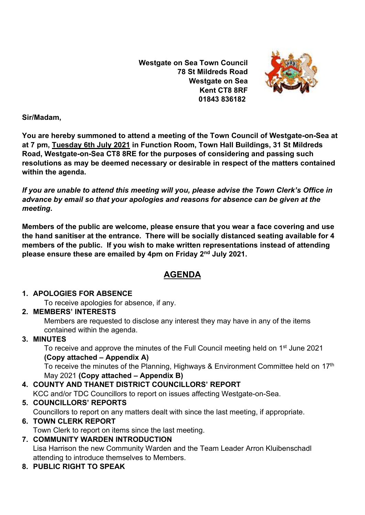**Westgate on Sea Town Council 78 St Mildreds Road Westgate on Sea Kent CT8 8RF 01843 836182**



#### **Sir/Madam,**

**You are hereby summoned to attend a meeting of the Town Council of Westgate-on-Sea at at 7 pm, Tuesday 6th July 2021 in Function Room, Town Hall Buildings, 31 St Mildreds Road, Westgate-on-Sea CT8 8RE for the purposes of considering and passing such resolutions as may be deemed necessary or desirable in respect of the matters contained within the agenda.**

*If you are unable to attend this meeting will you, please advise the Town Clerk's Office in advance by email so that your apologies and reasons for absence can be given at the meeting***.**

**Members of the public are welcome, please ensure that you wear a face covering and use the hand sanitiser at the entrance. There will be socially distanced seating available for 4 members of the public. If you wish to make written representations instead of attending please ensure these are emailed by 4pm on Friday 2nd July 2021.**

# **AGENDA**

## **1. APOLOGIES FOR ABSENCE**

To receive apologies for absence, if any.

## **2. MEMBERS' INTERESTS**

Members are requested to disclose any interest they may have in any of the items contained within the agenda.

## **3. MINUTES**

To receive and approve the minutes of the Full Council meeting held on 1<sup>st</sup> June 2021 **(Copy attached – Appendix A)**

To receive the minutes of the Planning, Highways & Environment Committee held on 17<sup>th</sup> May 2021 **(Copy attached – Appendix B)**

## **4. COUNTY AND THANET DISTRICT COUNCILLORS' REPORT**

KCC and/or TDC Councillors to report on issues affecting Westgate-on-Sea.

## **5. COUNCILLORS' REPORTS**

Councillors to report on any matters dealt with since the last meeting, if appropriate.

## **6. TOWN CLERK REPORT**

Town Clerk to report on items since the last meeting.

#### **7. COMMUNITY WARDEN INTRODUCTION** Lisa Harrison the new Community Warden and the Team Leader Arron Kluibenschadl attending to introduce themselves to Members.

**8. PUBLIC RIGHT TO SPEAK**